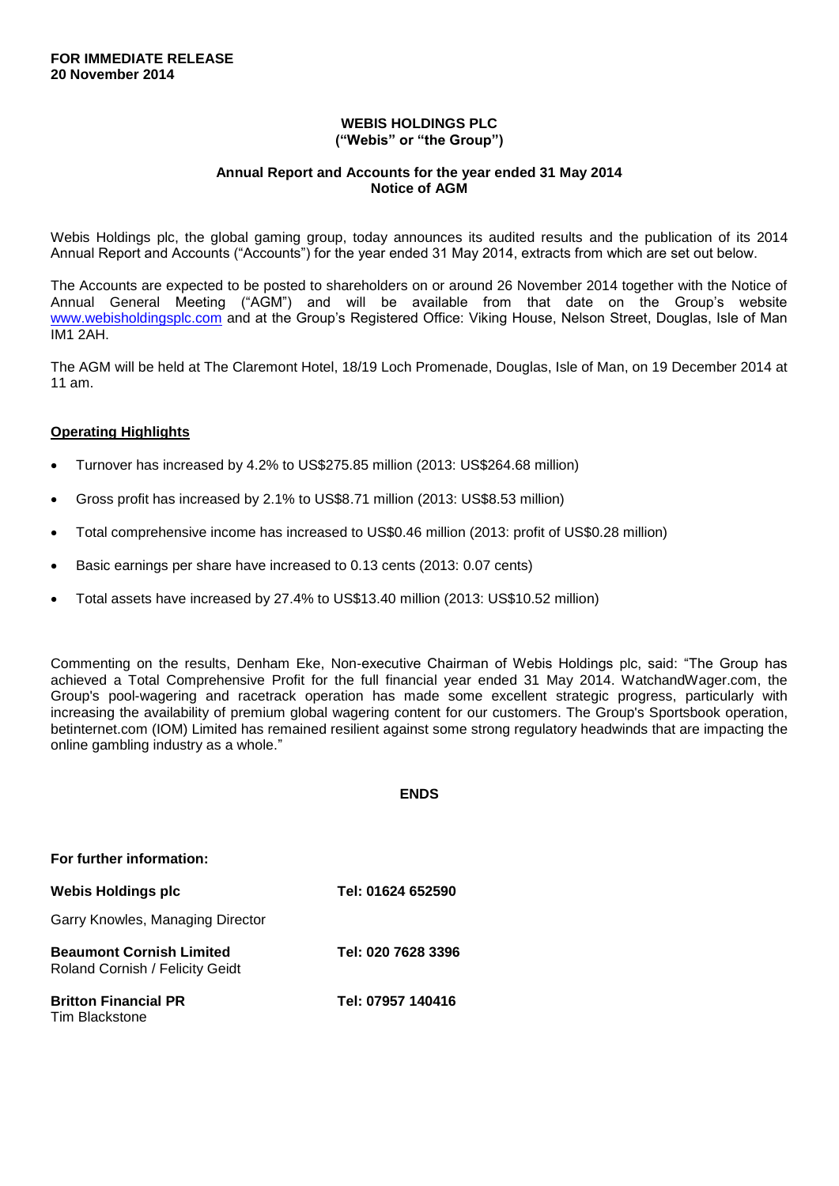## **WEBIS HOLDINGS PLC ("Webis" or "the Group")**

## **Annual Report and Accounts for the year ended 31 May 2014 Notice of AGM**

Webis Holdings plc, the global gaming group, today announces its audited results and the publication of its 2014 Annual Report and Accounts ("Accounts") for the year ended 31 May 2014, extracts from which are set out below.

The Accounts are expected to be posted to shareholders on or around 26 November 2014 together with the Notice of Annual General Meeting ("AGM") and will be available from that date on the Group's website [www.webisholdingsplc.com](http://www.webisholdingsplc.com/) and at the Group's Registered Office: Viking House, Nelson Street, Douglas, Isle of Man IM1 2AH.

The AGM will be held at The Claremont Hotel, 18/19 Loch Promenade, Douglas, Isle of Man, on 19 December 2014 at 11 am.

## **Operating Highlights**

- Turnover has increased by 4.2% to US\$275.85 million (2013: US\$264.68 million)
- Gross profit has increased by 2.1% to US\$8.71 million (2013: US\$8.53 million)
- Total comprehensive income has increased to US\$0.46 million (2013: profit of US\$0.28 million)
- Basic earnings per share have increased to 0.13 cents (2013: 0.07 cents)
- Total assets have increased by 27.4% to US\$13.40 million (2013: US\$10.52 million)

Commenting on the results, Denham Eke, Non-executive Chairman of Webis Holdings plc, said: "The Group has achieved a Total Comprehensive Profit for the full financial year ended 31 May 2014. WatchandWager.com, the Group's pool-wagering and racetrack operation has made some excellent strategic progress, particularly with increasing the availability of premium global wagering content for our customers. The Group's Sportsbook operation, betinternet.com (IOM) Limited has remained resilient against some strong regulatory headwinds that are impacting the online gambling industry as a whole."

**ENDS**

| For further information:                                           |                    |
|--------------------------------------------------------------------|--------------------|
| <b>Webis Holdings plc</b>                                          | Tel: 01624 652590  |
| Garry Knowles, Managing Director                                   |                    |
| <b>Beaumont Cornish Limited</b><br>Roland Cornish / Felicity Geidt | Tel: 020 7628 3396 |
| <b>Britton Financial PR</b><br>Tim Blackstone                      | Tel: 07957 140416  |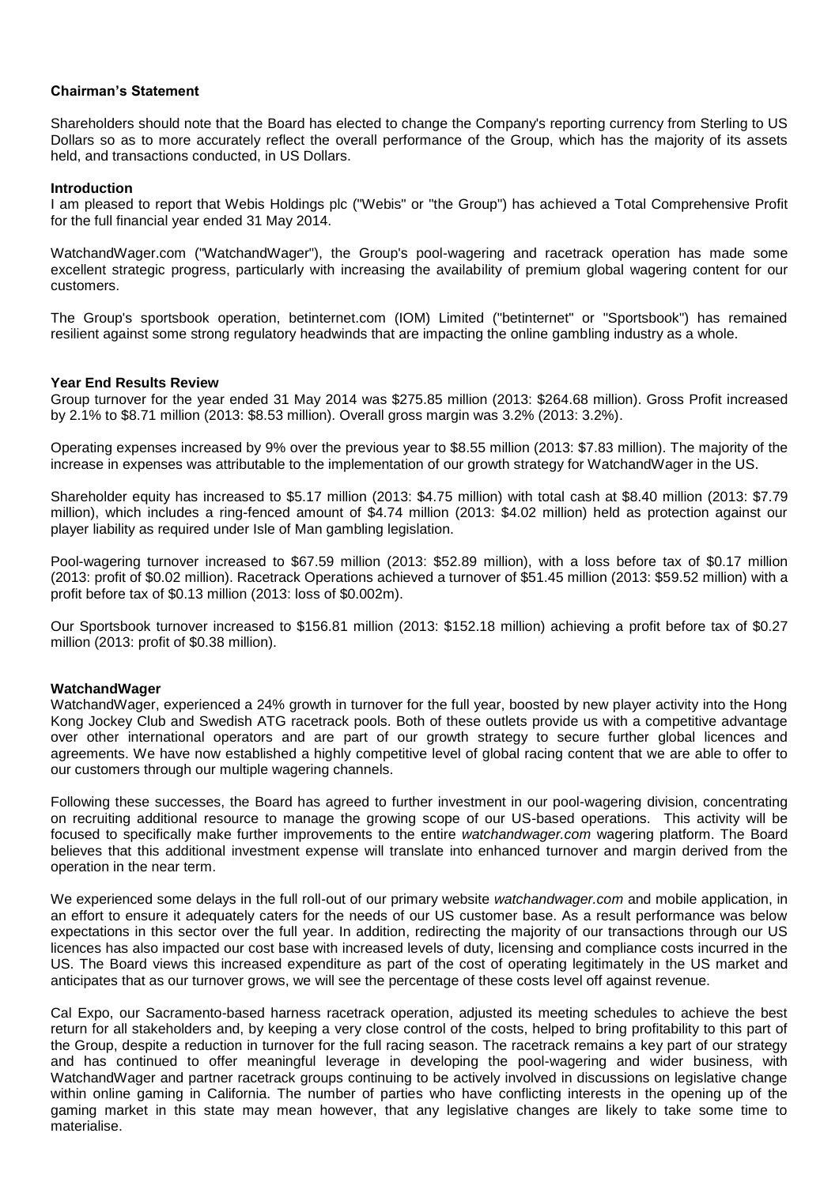## **Chairman's Statement**

Shareholders should note that the Board has elected to change the Company's reporting currency from Sterling to US Dollars so as to more accurately reflect the overall performance of the Group, which has the majority of its assets held, and transactions conducted, in US Dollars.

## **Introduction**

I am pleased to report that Webis Holdings plc ("Webis" or "the Group") has achieved a Total Comprehensive Profit for the full financial year ended 31 May 2014.

WatchandWager.com ("WatchandWager"), the Group's pool-wagering and racetrack operation has made some excellent strategic progress, particularly with increasing the availability of premium global wagering content for our customers.

The Group's sportsbook operation, betinternet.com (IOM) Limited ("betinternet" or "Sportsbook") has remained resilient against some strong regulatory headwinds that are impacting the online gambling industry as a whole.

## **Year End Results Review**

Group turnover for the year ended 31 May 2014 was \$275.85 million (2013: \$264.68 million). Gross Profit increased by 2.1% to \$8.71 million (2013: \$8.53 million). Overall gross margin was 3.2% (2013: 3.2%).

Operating expenses increased by 9% over the previous year to \$8.55 million (2013: \$7.83 million). The majority of the increase in expenses was attributable to the implementation of our growth strategy for WatchandWager in the US.

Shareholder equity has increased to \$5.17 million (2013: \$4.75 million) with total cash at \$8.40 million (2013: \$7.79 million), which includes a ring-fenced amount of \$4.74 million (2013: \$4.02 million) held as protection against our player liability as required under Isle of Man gambling legislation.

Pool-wagering turnover increased to \$67.59 million (2013: \$52.89 million), with a loss before tax of \$0.17 million (2013: profit of \$0.02 million). Racetrack Operations achieved a turnover of \$51.45 million (2013: \$59.52 million) with a profit before tax of \$0.13 million (2013: loss of \$0.002m).

Our Sportsbook turnover increased to \$156.81 million (2013: \$152.18 million) achieving a profit before tax of \$0.27 million (2013: profit of \$0.38 million).

## **WatchandWager**

WatchandWager, experienced a 24% growth in turnover for the full year, boosted by new player activity into the Hong Kong Jockey Club and Swedish ATG racetrack pools. Both of these outlets provide us with a competitive advantage over other international operators and are part of our growth strategy to secure further global licences and agreements. We have now established a highly competitive level of global racing content that we are able to offer to our customers through our multiple wagering channels.

Following these successes, the Board has agreed to further investment in our pool-wagering division, concentrating on recruiting additional resource to manage the growing scope of our US-based operations. This activity will be focused to specifically make further improvements to the entire *watchandwager.com* wagering platform. The Board believes that this additional investment expense will translate into enhanced turnover and margin derived from the operation in the near term.

We experienced some delays in the full roll-out of our primary website *watchandwager.com* and mobile application, in an effort to ensure it adequately caters for the needs of our US customer base. As a result performance was below expectations in this sector over the full year. In addition, redirecting the majority of our transactions through our US licences has also impacted our cost base with increased levels of duty, licensing and compliance costs incurred in the US. The Board views this increased expenditure as part of the cost of operating legitimately in the US market and anticipates that as our turnover grows, we will see the percentage of these costs level off against revenue.

Cal Expo, our Sacramento-based harness racetrack operation, adjusted its meeting schedules to achieve the best return for all stakeholders and, by keeping a very close control of the costs, helped to bring profitability to this part of the Group, despite a reduction in turnover for the full racing season. The racetrack remains a key part of our strategy and has continued to offer meaningful leverage in developing the pool-wagering and wider business, with WatchandWager and partner racetrack groups continuing to be actively involved in discussions on legislative change within online gaming in California. The number of parties who have conflicting interests in the opening up of the gaming market in this state may mean however, that any legislative changes are likely to take some time to materialise.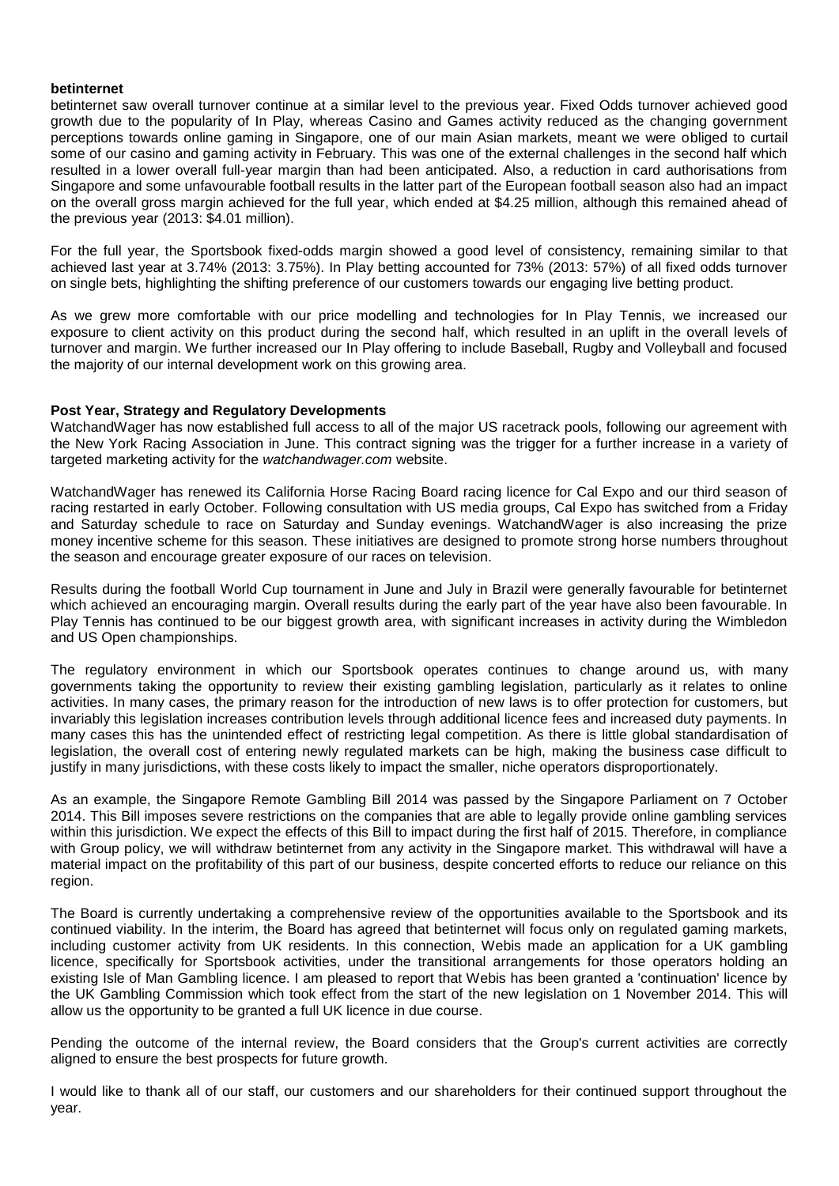## **betinternet**

betinternet saw overall turnover continue at a similar level to the previous year. Fixed Odds turnover achieved good growth due to the popularity of In Play, whereas Casino and Games activity reduced as the changing government perceptions towards online gaming in Singapore, one of our main Asian markets, meant we were obliged to curtail some of our casino and gaming activity in February. This was one of the external challenges in the second half which resulted in a lower overall full-year margin than had been anticipated. Also, a reduction in card authorisations from Singapore and some unfavourable football results in the latter part of the European football season also had an impact on the overall gross margin achieved for the full year, which ended at \$4.25 million, although this remained ahead of the previous year (2013: \$4.01 million).

For the full year, the Sportsbook fixed-odds margin showed a good level of consistency, remaining similar to that achieved last year at 3.74% (2013: 3.75%). In Play betting accounted for 73% (2013: 57%) of all fixed odds turnover on single bets, highlighting the shifting preference of our customers towards our engaging live betting product.

As we grew more comfortable with our price modelling and technologies for In Play Tennis, we increased our exposure to client activity on this product during the second half, which resulted in an uplift in the overall levels of turnover and margin. We further increased our In Play offering to include Baseball, Rugby and Volleyball and focused the majority of our internal development work on this growing area.

## **Post Year, Strategy and Regulatory Developments**

WatchandWager has now established full access to all of the major US racetrack pools, following our agreement with the New York Racing Association in June. This contract signing was the trigger for a further increase in a variety of targeted marketing activity for the *watchandwager.com* website.

WatchandWager has renewed its California Horse Racing Board racing licence for Cal Expo and our third season of racing restarted in early October. Following consultation with US media groups, Cal Expo has switched from a Friday and Saturday schedule to race on Saturday and Sunday evenings. WatchandWager is also increasing the prize money incentive scheme for this season. These initiatives are designed to promote strong horse numbers throughout the season and encourage greater exposure of our races on television.

Results during the football World Cup tournament in June and July in Brazil were generally favourable for betinternet which achieved an encouraging margin. Overall results during the early part of the year have also been favourable. In Play Tennis has continued to be our biggest growth area, with significant increases in activity during the Wimbledon and US Open championships.

The regulatory environment in which our Sportsbook operates continues to change around us, with many governments taking the opportunity to review their existing gambling legislation, particularly as it relates to online activities. In many cases, the primary reason for the introduction of new laws is to offer protection for customers, but invariably this legislation increases contribution levels through additional licence fees and increased duty payments. In many cases this has the unintended effect of restricting legal competition. As there is little global standardisation of legislation, the overall cost of entering newly regulated markets can be high, making the business case difficult to justify in many jurisdictions, with these costs likely to impact the smaller, niche operators disproportionately.

As an example, the Singapore Remote Gambling Bill 2014 was passed by the Singapore Parliament on 7 October 2014. This Bill imposes severe restrictions on the companies that are able to legally provide online gambling services within this jurisdiction. We expect the effects of this Bill to impact during the first half of 2015. Therefore, in compliance with Group policy, we will withdraw betinternet from any activity in the Singapore market. This withdrawal will have a material impact on the profitability of this part of our business, despite concerted efforts to reduce our reliance on this region.

The Board is currently undertaking a comprehensive review of the opportunities available to the Sportsbook and its continued viability. In the interim, the Board has agreed that betinternet will focus only on regulated gaming markets, including customer activity from UK residents. In this connection, Webis made an application for a UK gambling licence, specifically for Sportsbook activities, under the transitional arrangements for those operators holding an existing Isle of Man Gambling licence. I am pleased to report that Webis has been granted a 'continuation' licence by the UK Gambling Commission which took effect from the start of the new legislation on 1 November 2014. This will allow us the opportunity to be granted a full UK licence in due course.

Pending the outcome of the internal review, the Board considers that the Group's current activities are correctly aligned to ensure the best prospects for future growth.

I would like to thank all of our staff, our customers and our shareholders for their continued support throughout the year.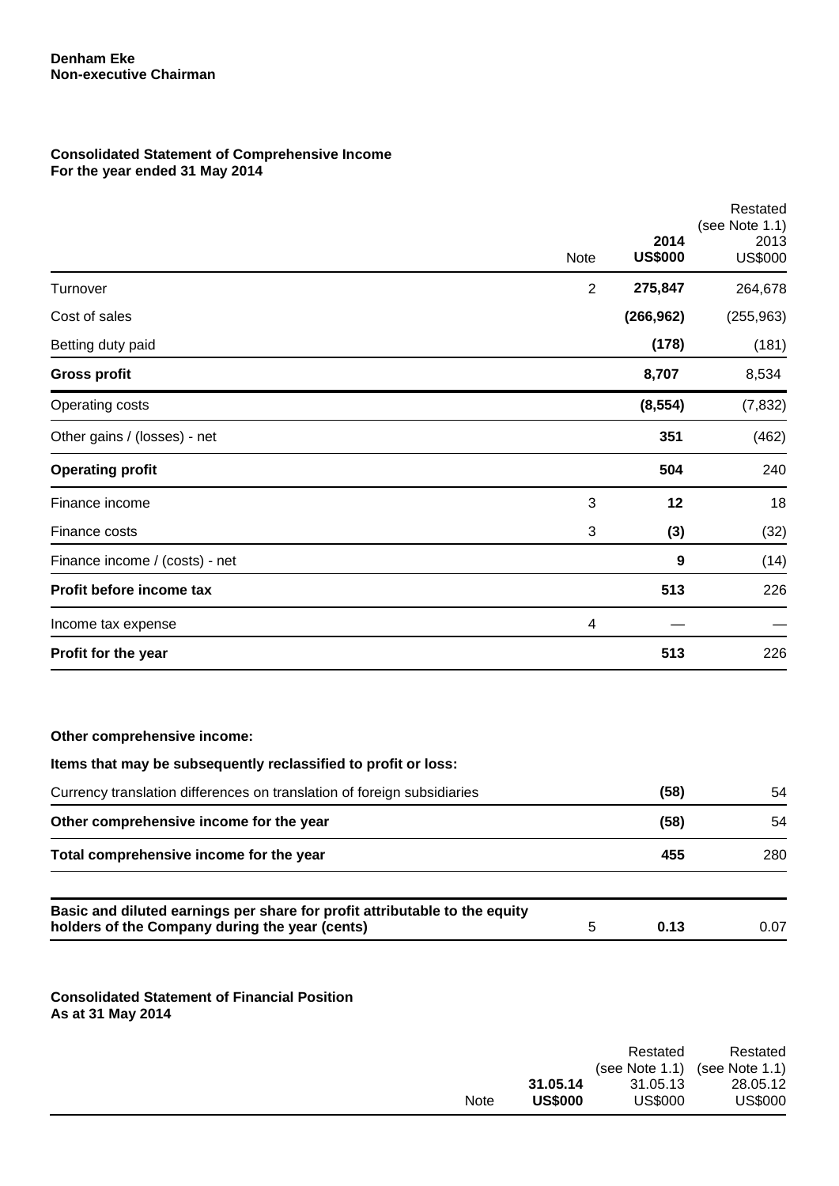## **Consolidated Statement of Comprehensive Income For the year ended 31 May 2014**

|                                |                | 2014           | Restated<br>(see Note 1.1)<br>2013 |
|--------------------------------|----------------|----------------|------------------------------------|
|                                | Note           | <b>US\$000</b> | <b>US\$000</b>                     |
| Turnover                       | $\overline{2}$ | 275,847        | 264,678                            |
| Cost of sales                  |                | (266, 962)     | (255, 963)                         |
| Betting duty paid              |                | (178)          | (181)                              |
| <b>Gross profit</b>            |                | 8,707          | 8,534                              |
| Operating costs                |                | (8, 554)       | (7, 832)                           |
| Other gains / (losses) - net   |                | 351            | (462)                              |
| <b>Operating profit</b>        |                | 504            | 240                                |
| Finance income                 | 3              | 12             | 18                                 |
| Finance costs                  | 3              | (3)            | (32)                               |
| Finance income / (costs) - net |                | 9              | (14)                               |
| Profit before income tax       |                | 513            | 226                                |
| Income tax expense             | 4              |                |                                    |
| Profit for the year            |                | 513            | 226                                |
|                                |                |                |                                    |

## **Other comprehensive income:**

| Items that may be subsequently reclassified to profit or loss:                                                               |   |      |      |
|------------------------------------------------------------------------------------------------------------------------------|---|------|------|
| Currency translation differences on translation of foreign subsidiaries                                                      |   | (58) | 54   |
| Other comprehensive income for the year                                                                                      |   | (58) | 54   |
| Total comprehensive income for the year                                                                                      |   | 455  | 280  |
| Basic and diluted earnings per share for profit attributable to the equity<br>holders of the Company during the year (cents) | 5 | 0.13 | 0.07 |

**Consolidated Statement of Financial Position As at 31 May 2014**

|             |                | Restated          | Restated       |
|-------------|----------------|-------------------|----------------|
|             |                | (see Note $1.1$ ) | (see Note 1.1) |
|             | 31.05.14       | 31.05.13          | 28.05.12       |
| <b>Note</b> | <b>US\$000</b> | <b>US\$000</b>    | <b>US\$000</b> |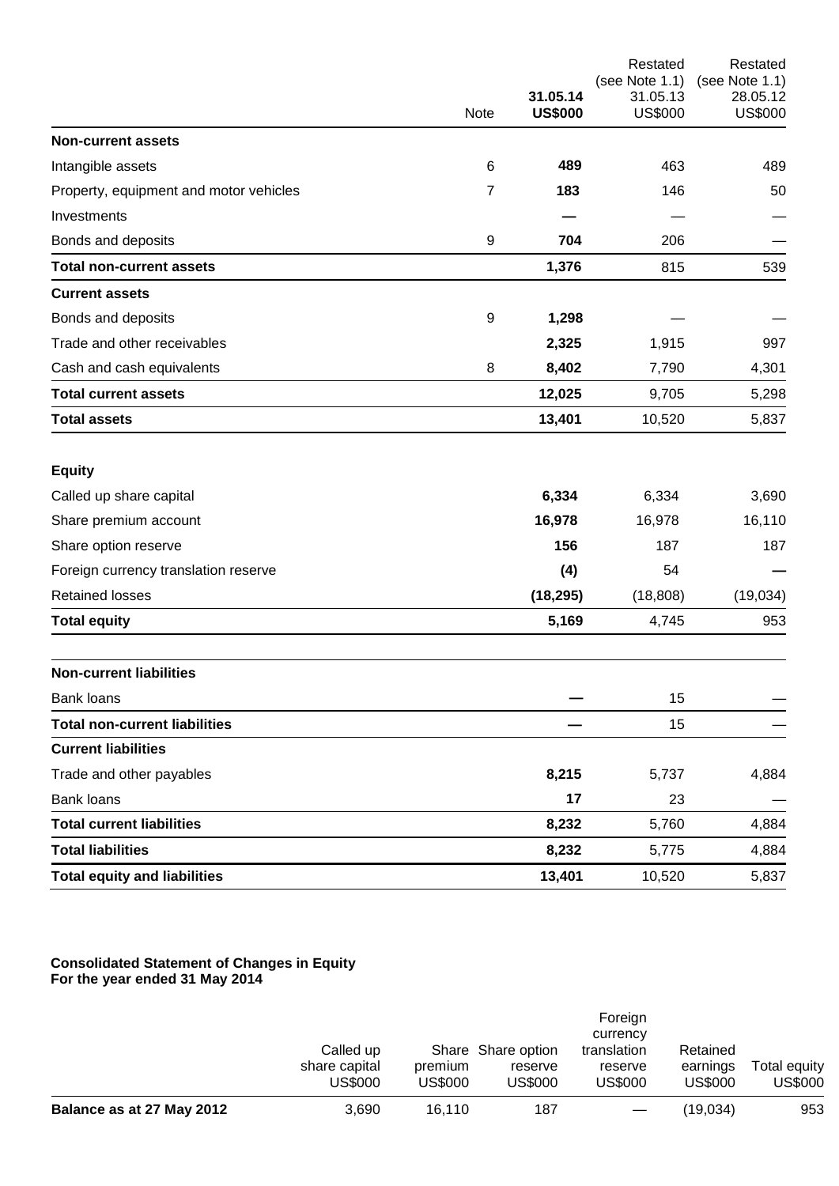|                                        |                  |                |                            | Restated<br>(see Note 1.1) |
|----------------------------------------|------------------|----------------|----------------------------|----------------------------|
|                                        |                  | 31.05.14       | (see Note 1.1)<br>31.05.13 | 28.05.12                   |
|                                        | Note             | <b>US\$000</b> | <b>US\$000</b>             | <b>US\$000</b>             |
| <b>Non-current assets</b>              |                  |                |                            |                            |
| Intangible assets                      | $\,6$            | 489            | 463                        | 489                        |
| Property, equipment and motor vehicles | 7                | 183            | 146                        | 50                         |
| Investments                            |                  |                |                            |                            |
| Bonds and deposits                     | $\boldsymbol{9}$ | 704            | 206                        |                            |
| <b>Total non-current assets</b>        |                  | 1,376          | 815                        | 539                        |
| <b>Current assets</b>                  |                  |                |                            |                            |
| Bonds and deposits                     | 9                | 1,298          |                            |                            |
| Trade and other receivables            |                  | 2,325          | 1,915                      | 997                        |
| Cash and cash equivalents              | 8                | 8,402          | 7,790                      | 4,301                      |
| <b>Total current assets</b>            |                  | 12,025         | 9,705                      | 5,298                      |
| <b>Total assets</b>                    |                  | 13,401         | 10,520                     | 5,837                      |
| <b>Equity</b>                          |                  |                |                            |                            |
| Called up share capital                |                  | 6,334          | 6,334                      | 3,690                      |
| Share premium account                  |                  | 16,978         | 16,978                     | 16,110                     |
| Share option reserve                   |                  | 156            | 187                        | 187                        |
| Foreign currency translation reserve   |                  | (4)            | 54                         |                            |
| <b>Retained losses</b>                 |                  | (18, 295)      | (18, 808)                  | (19,034)                   |
| <b>Total equity</b>                    |                  | 5,169          | 4,745                      | 953                        |
| <b>Non-current liabilities</b>         |                  |                |                            |                            |
| Bank loans                             |                  |                | 15                         |                            |
| <b>Total non-current liabilities</b>   |                  |                | 15                         |                            |
| <b>Current liabilities</b>             |                  |                |                            |                            |
| Trade and other payables               |                  | 8,215          | 5,737                      | 4,884                      |
| <b>Bank loans</b>                      |                  | 17             | 23                         |                            |
| <b>Total current liabilities</b>       |                  | 8,232          | 5,760                      | 4,884                      |
| <b>Total liabilities</b>               |                  | 8,232          | 5,775                      | 4,884                      |
| <b>Total equity and liabilities</b>    |                  | 13,401         | 10,520                     | 5,837                      |

## **Consolidated Statement of Changes in Equity For the year ended 31 May 2014**

|                           |                                       |                    |                                          | Foreign<br>currency                      |                                        |                         |
|---------------------------|---------------------------------------|--------------------|------------------------------------------|------------------------------------------|----------------------------------------|-------------------------|
|                           | Called up<br>share capital<br>US\$000 | premium<br>US\$000 | Share Share option<br>reserve<br>US\$000 | translation<br>reserve<br><b>US\$000</b> | Retained<br>earnings<br><b>US\$000</b> | Total equity<br>US\$000 |
| Balance as at 27 May 2012 | 3.690                                 | 16.110             | 187                                      |                                          | (19.034)                               | 953                     |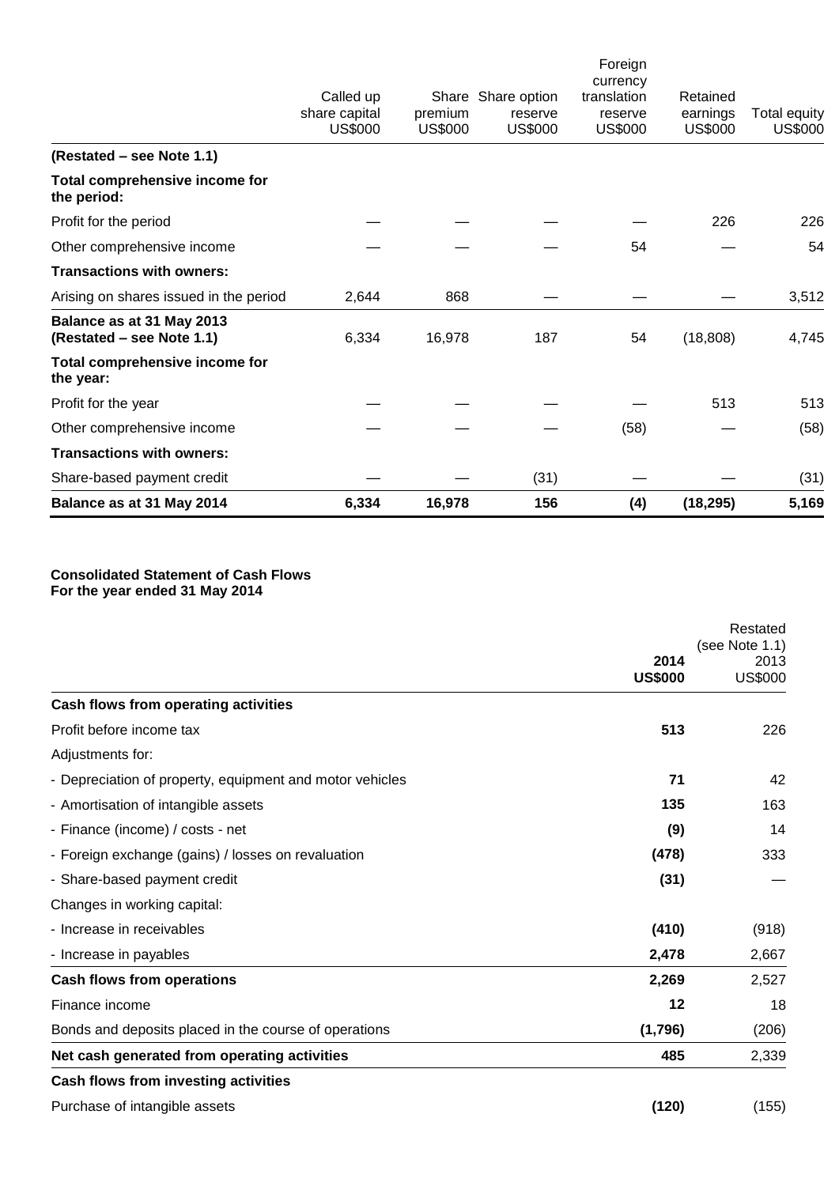| share capital<br>premium<br>earnings<br>reserve<br>reserve<br>US\$000<br><b>US\$000</b><br><b>US\$000</b><br><b>US\$000</b><br><b>US\$000</b><br>(Restated – see Note 1.1)<br>Total comprehensive income for<br>the period:<br>226<br>Profit for the period<br>54<br>Other comprehensive income<br><b>Transactions with owners:</b><br>868<br>Arising on shares issued in the period<br>2,644<br>Balance as at 31 May 2013<br>16,978<br>(Restated – see Note 1.1)<br>6,334<br>187<br>54<br>(18, 808)<br>Total comprehensive income for<br>the year:<br>513<br>Profit for the year<br>Other comprehensive income<br>(58)<br><b>Transactions with owners:</b><br>Share-based payment credit<br>(31) | Balance as at 31 May 2014 | 6,334     | 16,978 | 156                | (4)         | (18, 295) | 5,169                          |
|---------------------------------------------------------------------------------------------------------------------------------------------------------------------------------------------------------------------------------------------------------------------------------------------------------------------------------------------------------------------------------------------------------------------------------------------------------------------------------------------------------------------------------------------------------------------------------------------------------------------------------------------------------------------------------------------------|---------------------------|-----------|--------|--------------------|-------------|-----------|--------------------------------|
|                                                                                                                                                                                                                                                                                                                                                                                                                                                                                                                                                                                                                                                                                                   |                           |           |        |                    |             |           | (31)                           |
|                                                                                                                                                                                                                                                                                                                                                                                                                                                                                                                                                                                                                                                                                                   |                           |           |        |                    |             |           |                                |
|                                                                                                                                                                                                                                                                                                                                                                                                                                                                                                                                                                                                                                                                                                   |                           |           |        |                    |             |           | (58)                           |
|                                                                                                                                                                                                                                                                                                                                                                                                                                                                                                                                                                                                                                                                                                   |                           |           |        |                    |             |           | 513                            |
|                                                                                                                                                                                                                                                                                                                                                                                                                                                                                                                                                                                                                                                                                                   |                           |           |        |                    |             |           |                                |
|                                                                                                                                                                                                                                                                                                                                                                                                                                                                                                                                                                                                                                                                                                   |                           |           |        |                    |             |           | 4,745                          |
|                                                                                                                                                                                                                                                                                                                                                                                                                                                                                                                                                                                                                                                                                                   |                           |           |        |                    |             |           | 3,512                          |
|                                                                                                                                                                                                                                                                                                                                                                                                                                                                                                                                                                                                                                                                                                   |                           |           |        |                    |             |           |                                |
|                                                                                                                                                                                                                                                                                                                                                                                                                                                                                                                                                                                                                                                                                                   |                           |           |        |                    |             |           | 54                             |
|                                                                                                                                                                                                                                                                                                                                                                                                                                                                                                                                                                                                                                                                                                   |                           |           |        |                    |             |           | 226                            |
|                                                                                                                                                                                                                                                                                                                                                                                                                                                                                                                                                                                                                                                                                                   |                           |           |        |                    |             |           |                                |
|                                                                                                                                                                                                                                                                                                                                                                                                                                                                                                                                                                                                                                                                                                   |                           |           |        |                    |             |           |                                |
| Foreign<br>currency                                                                                                                                                                                                                                                                                                                                                                                                                                                                                                                                                                                                                                                                               |                           | Called up |        | Share Share option | translation | Retained  | Total equity<br><b>US\$000</b> |

## **Consolidated Statement of Cash Flows For the year ended 31 May 2014**

|                                                          |                | Restated               |
|----------------------------------------------------------|----------------|------------------------|
|                                                          | 2014           | (see Note 1.1)<br>2013 |
|                                                          | <b>US\$000</b> | <b>US\$000</b>         |
| Cash flows from operating activities                     |                |                        |
| Profit before income tax                                 | 513            | 226                    |
| Adjustments for:                                         |                |                        |
| - Depreciation of property, equipment and motor vehicles | 71             | 42                     |
| - Amortisation of intangible assets                      | 135            | 163                    |
| - Finance (income) / costs - net                         | (9)            | 14                     |
| - Foreign exchange (gains) / losses on revaluation       | (478)          | 333                    |
| - Share-based payment credit                             | (31)           |                        |
| Changes in working capital:                              |                |                        |
| - Increase in receivables                                | (410)          | (918)                  |
| - Increase in payables                                   | 2,478          | 2,667                  |
| <b>Cash flows from operations</b>                        | 2,269          | 2,527                  |
| Finance income                                           | 12             | 18                     |
| Bonds and deposits placed in the course of operations    | (1,796)        | (206)                  |
| Net cash generated from operating activities             | 485            | 2,339                  |
| Cash flows from investing activities                     |                |                        |
| Purchase of intangible assets                            | (120)          | (155)                  |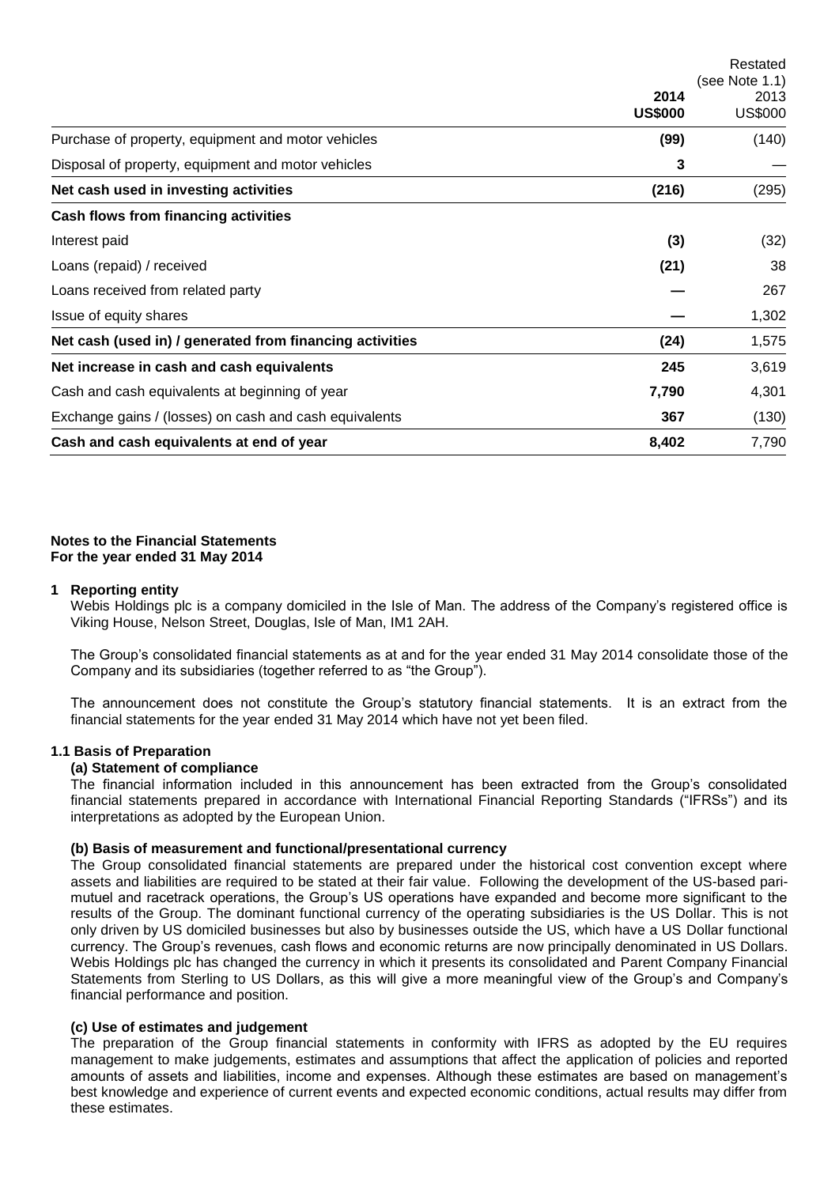|                                                          |                | Restated       |  |
|----------------------------------------------------------|----------------|----------------|--|
|                                                          |                | (see Note 1.1) |  |
|                                                          | 2014           | 2013           |  |
|                                                          | <b>US\$000</b> | <b>US\$000</b> |  |
| Purchase of property, equipment and motor vehicles       | (99)           | (140)          |  |
| Disposal of property, equipment and motor vehicles       | 3              |                |  |
| Net cash used in investing activities                    | (216)          | (295)          |  |
| Cash flows from financing activities                     |                |                |  |
| Interest paid                                            | (3)            | (32)           |  |
| Loans (repaid) / received                                | (21)           | 38             |  |
| Loans received from related party                        |                | 267            |  |
| Issue of equity shares                                   |                | 1,302          |  |
| Net cash (used in) / generated from financing activities | (24)           | 1,575          |  |
| Net increase in cash and cash equivalents                | 245            | 3,619          |  |
| Cash and cash equivalents at beginning of year           | 7,790          | 4,301          |  |
| Exchange gains / (losses) on cash and cash equivalents   | 367            | (130)          |  |
| Cash and cash equivalents at end of year                 | 8,402          | 7,790          |  |

## **Notes to the Financial Statements For the year ended 31 May 2014**

#### **1 Reporting entity**

Webis Holdings plc is a company domiciled in the Isle of Man. The address of the Company's registered office is Viking House, Nelson Street, Douglas, Isle of Man, IM1 2AH.

The Group's consolidated financial statements as at and for the year ended 31 May 2014 consolidate those of the Company and its subsidiaries (together referred to as "the Group").

The announcement does not constitute the Group's statutory financial statements. It is an extract from the financial statements for the year ended 31 May 2014 which have not yet been filed.

## **1.1 Basis of Preparation**

# **(a) Statement of compliance**

The financial information included in this announcement has been extracted from the Group's consolidated financial statements prepared in accordance with International Financial Reporting Standards ("IFRSs") and its interpretations as adopted by the European Union.

## **(b) Basis of measurement and functional/presentational currency**

The Group consolidated financial statements are prepared under the historical cost convention except where assets and liabilities are required to be stated at their fair value. Following the development of the US-based parimutuel and racetrack operations, the Group's US operations have expanded and become more significant to the results of the Group. The dominant functional currency of the operating subsidiaries is the US Dollar. This is not only driven by US domiciled businesses but also by businesses outside the US, which have a US Dollar functional currency. The Group's revenues, cash flows and economic returns are now principally denominated in US Dollars. Webis Holdings plc has changed the currency in which it presents its consolidated and Parent Company Financial Statements from Sterling to US Dollars, as this will give a more meaningful view of the Group's and Company's financial performance and position.

## **(c) Use of estimates and judgement**

The preparation of the Group financial statements in conformity with IFRS as adopted by the EU requires management to make judgements, estimates and assumptions that affect the application of policies and reported amounts of assets and liabilities, income and expenses. Although these estimates are based on management's best knowledge and experience of current events and expected economic conditions, actual results may differ from these estimates.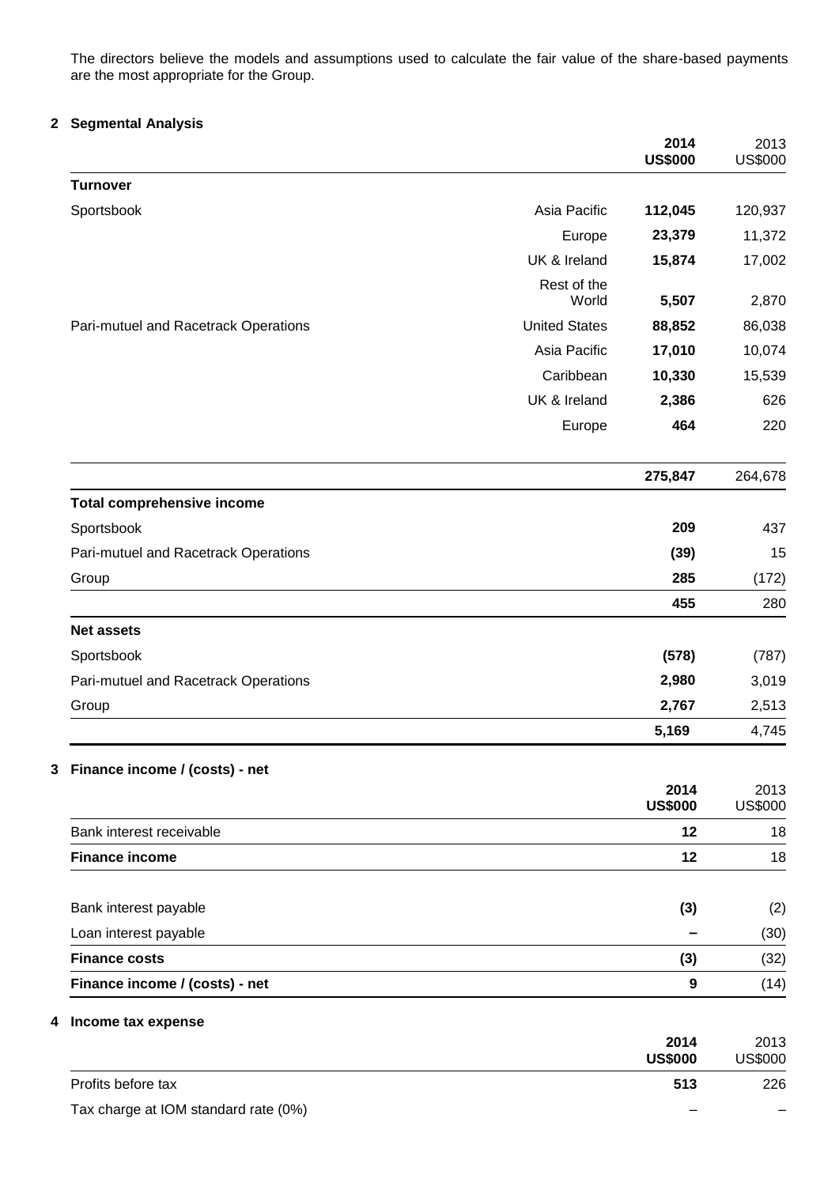The directors believe the models and assumptions used to calculate the fair value of the share-based payments are the most appropriate for the Group.

## **2 Segmental Analysis**

|                                      |                      | 2014<br><b>US\$000</b> | 2013<br><b>US\$000</b> |
|--------------------------------------|----------------------|------------------------|------------------------|
| <b>Turnover</b>                      |                      |                        |                        |
| Sportsbook                           | Asia Pacific         | 112,045                | 120,937                |
|                                      | Europe               | 23,379                 | 11,372                 |
|                                      | UK & Ireland         | 15,874                 | 17,002                 |
|                                      | Rest of the<br>World | 5,507                  | 2,870                  |
| Pari-mutuel and Racetrack Operations | <b>United States</b> | 88,852                 | 86,038                 |
|                                      | Asia Pacific         | 17,010                 | 10,074                 |
|                                      | Caribbean            | 10,330                 | 15,539                 |
|                                      | UK & Ireland         | 2,386                  | 626                    |
|                                      | Europe               | 464                    | 220                    |
|                                      |                      | 275,847                | 264,678                |
| <b>Total comprehensive income</b>    |                      |                        |                        |
| Sportsbook                           |                      | 209                    | 437                    |
| Pari-mutuel and Racetrack Operations |                      | (39)                   | 15                     |
| Group                                |                      | 285                    | (172)                  |
|                                      |                      | 455                    | 280                    |
| <b>Net assets</b>                    |                      |                        |                        |
| Sportsbook                           |                      | (578)                  | (787)                  |
| Pari-mutuel and Racetrack Operations |                      | 2,980                  | 3,019                  |
| Group                                |                      | 2,767                  | 2,513                  |
|                                      |                      | 5,169                  | 4,745                  |
| 3 Finance income / (costs) - net     |                      |                        |                        |
|                                      |                      | 2014<br><b>US\$000</b> | 2013<br><b>US\$000</b> |
| Bank interest receivable             |                      | 12                     | 18                     |
| <b>Finance income</b>                |                      | 12                     | 18                     |
| Bank interest payable                |                      | (3)                    | (2)                    |
| Loan interest payable                |                      |                        | (30)                   |
| <b>Finance costs</b>                 |                      | (3)                    | (32)                   |
| Finance income / (costs) - net       |                      | 9                      | (14)                   |
| 4 Income tax expense                 |                      | 2014                   | 2013                   |
|                                      |                      | <b>US\$000</b>         | <b>US\$000</b>         |
| Profits before tax                   |                      | 513                    | 226                    |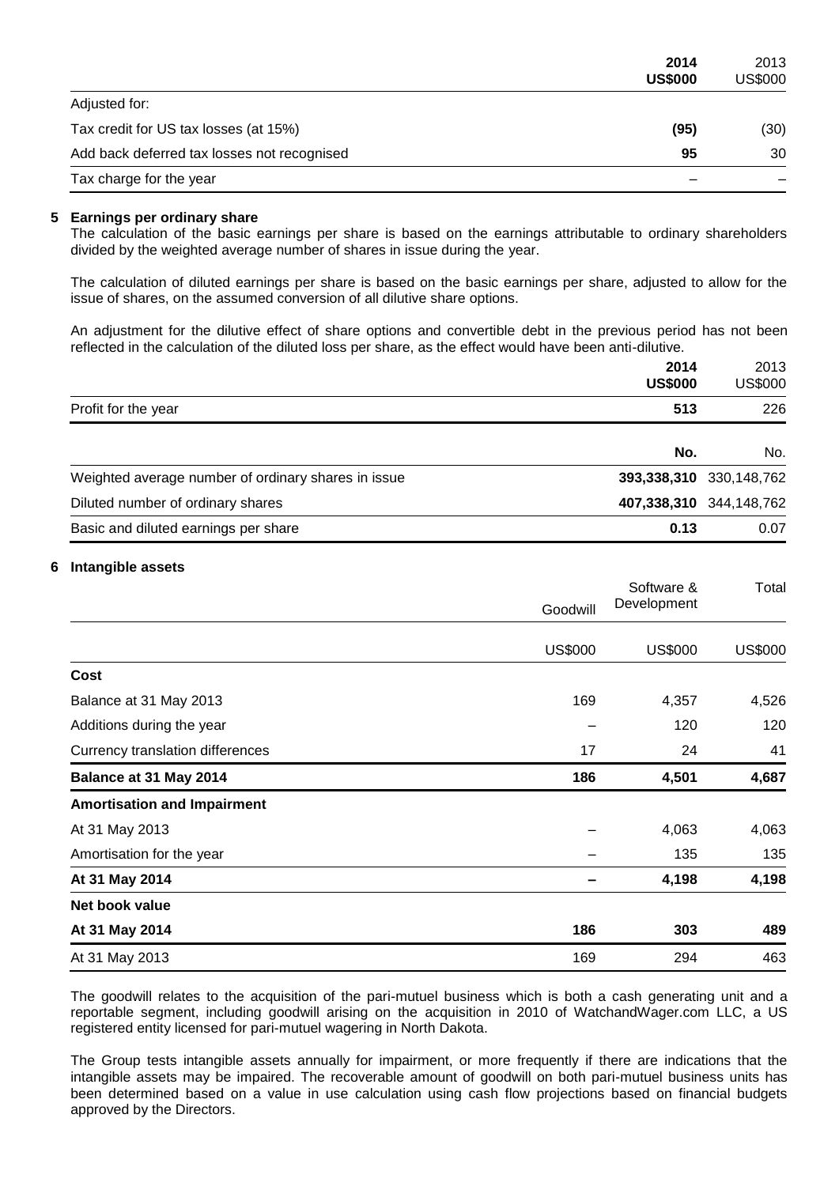|                                             | 2014<br><b>US\$000</b> | 2013<br>US\$000 |
|---------------------------------------------|------------------------|-----------------|
| Adjusted for:                               |                        |                 |
| Tax credit for US tax losses (at 15%)       | (95)                   | (30)            |
| Add back deferred tax losses not recognised | 95                     | 30              |
| Tax charge for the year                     |                        |                 |

#### **5 Earnings per ordinary share**

The calculation of the basic earnings per share is based on the earnings attributable to ordinary shareholders divided by the weighted average number of shares in issue during the year.

The calculation of diluted earnings per share is based on the basic earnings per share, adjusted to allow for the issue of shares, on the assumed conversion of all dilutive share options.

An adjustment for the dilutive effect of share options and convertible debt in the previous period has not been reflected in the calculation of the diluted loss per share, as the effect would have been anti-dilutive.

|                                                     | 2014<br><b>US\$000</b> | 2013<br><b>US\$000</b>  |
|-----------------------------------------------------|------------------------|-------------------------|
| Profit for the year                                 | 513                    | 226                     |
|                                                     | No.                    | No.                     |
| Weighted average number of ordinary shares in issue |                        | 393,338,310 330,148,762 |
| Diluted number of ordinary shares                   |                        | 407,338,310 344,148,762 |
| Basic and diluted earnings per share                | 0.13                   | 0.07                    |

#### **6 Intangible assets**

|                                    | Goodwill       | Software &<br>Development | Total          |
|------------------------------------|----------------|---------------------------|----------------|
|                                    |                |                           |                |
|                                    | <b>US\$000</b> | US\$000                   | <b>US\$000</b> |
| Cost                               |                |                           |                |
| Balance at 31 May 2013             | 169            | 4,357                     | 4,526          |
| Additions during the year          |                | 120                       | 120            |
| Currency translation differences   | 17             | 24                        | 41             |
| Balance at 31 May 2014             | 186            | 4,501                     | 4,687          |
| <b>Amortisation and Impairment</b> |                |                           |                |
| At 31 May 2013                     |                | 4,063                     | 4,063          |
| Amortisation for the year          |                | 135                       | 135            |
| At 31 May 2014                     |                | 4,198                     | 4,198          |
| Net book value                     |                |                           |                |
| At 31 May 2014                     | 186            | 303                       | 489            |
| At 31 May 2013                     | 169            | 294                       | 463            |

The goodwill relates to the acquisition of the pari-mutuel business which is both a cash generating unit and a reportable segment, including goodwill arising on the acquisition in 2010 of WatchandWager.com LLC, a US registered entity licensed for pari-mutuel wagering in North Dakota.

The Group tests intangible assets annually for impairment, or more frequently if there are indications that the intangible assets may be impaired. The recoverable amount of goodwill on both pari-mutuel business units has been determined based on a value in use calculation using cash flow projections based on financial budgets approved by the Directors.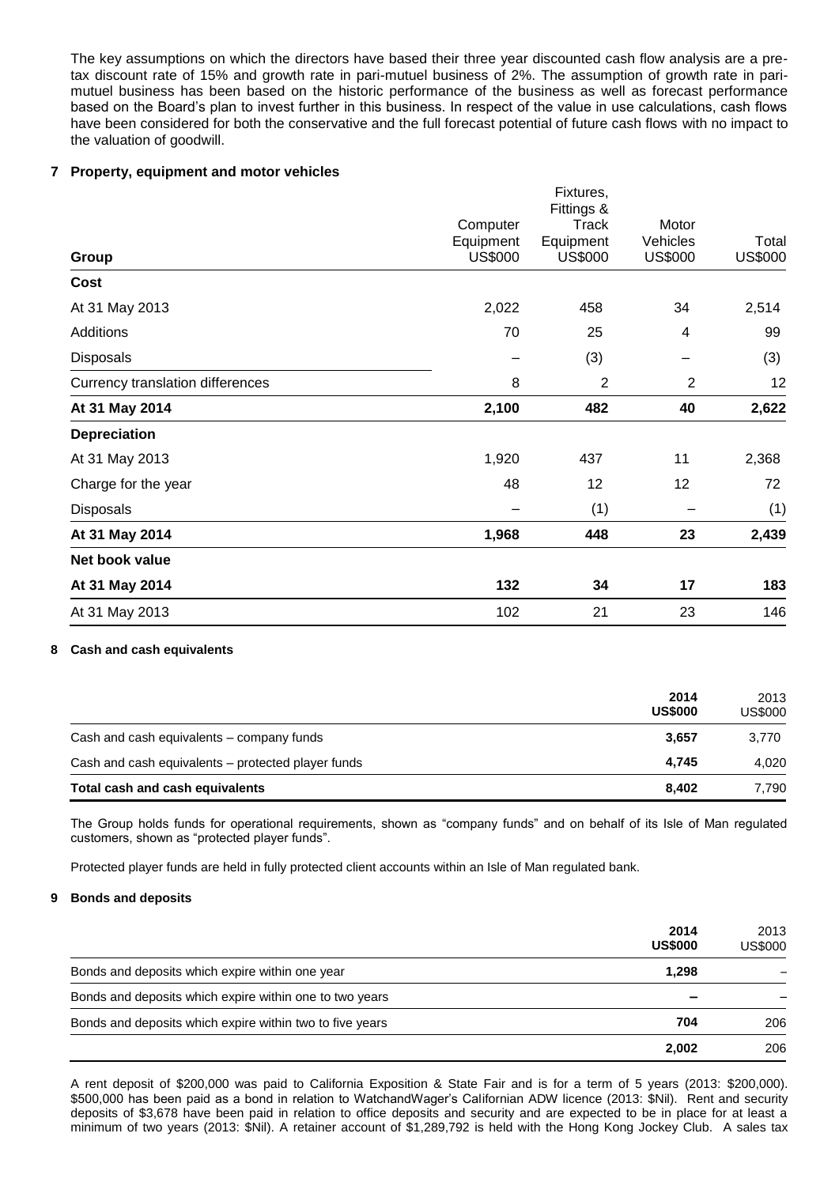The key assumptions on which the directors have based their three year discounted cash flow analysis are a pretax discount rate of 15% and growth rate in pari-mutuel business of 2%. The assumption of growth rate in parimutuel business has been based on the historic performance of the business as well as forecast performance based on the Board's plan to invest further in this business. In respect of the value in use calculations, cash flows have been considered for both the conservative and the full forecast potential of future cash flows with no impact to the valuation of goodwill.

## **7 Property, equipment and motor vehicles**

| Group                            |                             | Fixtures,<br>Fittings &              |                                     |                         |
|----------------------------------|-----------------------------|--------------------------------------|-------------------------------------|-------------------------|
|                                  | Computer                    | <b>Track</b><br>Equipment<br>US\$000 | Motor<br>Vehicles<br><b>US\$000</b> | Total<br><b>US\$000</b> |
|                                  | Equipment<br><b>US\$000</b> |                                      |                                     |                         |
| Cost                             |                             |                                      |                                     |                         |
| At 31 May 2013                   | 2,022                       | 458                                  | 34                                  | 2,514                   |
| Additions                        | 70                          | 25                                   | 4                                   | 99                      |
| <b>Disposals</b>                 |                             | (3)                                  |                                     | (3)                     |
| Currency translation differences | 8                           | $\overline{2}$                       | $\overline{2}$                      | 12                      |
| At 31 May 2014                   | 2,100                       | 482                                  | 40                                  | 2,622                   |
| <b>Depreciation</b>              |                             |                                      |                                     |                         |
| At 31 May 2013                   | 1,920                       | 437                                  | 11                                  | 2,368                   |
| Charge for the year              | 48                          | 12                                   | 12                                  | 72                      |
| Disposals                        |                             | (1)                                  |                                     | (1)                     |
| At 31 May 2014                   | 1,968                       | 448                                  | 23                                  | 2,439                   |
| Net book value                   |                             |                                      |                                     |                         |
| At 31 May 2014                   | 132                         | 34                                   | 17                                  | 183                     |
| At 31 May 2013                   | 102                         | 21                                   | 23                                  | 146                     |
|                                  |                             |                                      |                                     |                         |

#### **8 Cash and cash equivalents**

|                                                    | 2014<br><b>US\$000</b> | 2013<br><b>US\$000</b> |
|----------------------------------------------------|------------------------|------------------------|
| Cash and cash equivalents – company funds          | 3.657                  | 3.770                  |
| Cash and cash equivalents - protected player funds | 4.745                  | 4.020                  |
| Total cash and cash equivalents                    | 8,402                  | 7.790                  |

The Group holds funds for operational requirements, shown as "company funds" and on behalf of its Isle of Man regulated customers, shown as "protected player funds".

Protected player funds are held in fully protected client accounts within an Isle of Man regulated bank.

#### **9 Bonds and deposits**

|                                                          | 2014<br><b>US\$000</b> | 2013<br>US\$000 |
|----------------------------------------------------------|------------------------|-----------------|
| Bonds and deposits which expire within one year          | 1.298                  |                 |
| Bonds and deposits which expire within one to two years  | -                      |                 |
| Bonds and deposits which expire within two to five years | 704                    | 206             |
|                                                          | 2.002                  | 206             |

A rent deposit of \$200,000 was paid to California Exposition & State Fair and is for a term of 5 years (2013: \$200,000). \$500,000 has been paid as a bond in relation to WatchandWager's Californian ADW licence (2013: \$Nil). Rent and security deposits of \$3,678 have been paid in relation to office deposits and security and are expected to be in place for at least a minimum of two years (2013: \$Nil). A retainer account of \$1,289,792 is held with the Hong Kong Jockey Club. A sales tax